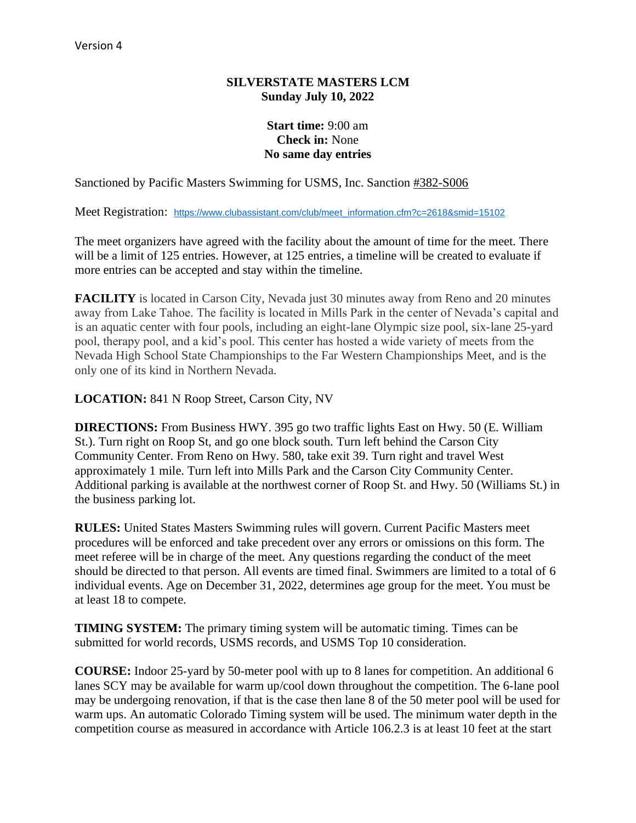### **SILVERSTATE MASTERS LCM Sunday July 10, 2022**

## **Start time:** 9:00 am **Check in:** None **No same day entries**

Sanctioned by Pacific Masters Swimming for USMS, Inc. Sanction #382-S006

Meet Registration: [https://www.clubassistant.com/club/meet\\_information.cfm?c=2618&smid=15102](https://www.clubassistant.com/club/meet_information.cfm?c=2618&smid=15102)

The meet organizers have agreed with the facility about the amount of time for the meet. There will be a limit of 125 entries. However, at 125 entries, a timeline will be created to evaluate if more entries can be accepted and stay within the timeline.

**FACILITY** is located in Carson City, Nevada just 30 minutes away from Reno and 20 minutes away from Lake Tahoe. The facility is located in Mills Park in the center of Nevada's capital and is an aquatic center with four pools, including an eight-lane Olympic size pool, six-lane 25-yard pool, therapy pool, and a kid's pool. This center has hosted a wide variety of meets from the Nevada High School State Championships to the Far Western Championships Meet, and is the only one of its kind in Northern Nevada.

**LOCATION:** 841 N Roop Street, Carson City, NV

**DIRECTIONS:** From Business HWY. 395 go two traffic lights East on Hwy. 50 (E. William St.). Turn right on Roop St, and go one block south. Turn left behind the Carson City Community Center. From Reno on Hwy. 580, take exit 39. Turn right and travel West approximately 1 mile. Turn left into Mills Park and the Carson City Community Center. Additional parking is available at the northwest corner of Roop St. and Hwy. 50 (Williams St.) in the business parking lot.

**RULES:** United States Masters Swimming rules will govern. Current Pacific Masters meet procedures will be enforced and take precedent over any errors or omissions on this form. The meet referee will be in charge of the meet. Any questions regarding the conduct of the meet should be directed to that person. All events are timed final. Swimmers are limited to a total of 6 individual events. Age on December 31, 2022, determines age group for the meet. You must be at least 18 to compete.

**TIMING SYSTEM:** The primary timing system will be automatic timing. Times can be submitted for world records, USMS records, and USMS Top 10 consideration.

**COURSE:** Indoor 25-yard by 50-meter pool with up to 8 lanes for competition. An additional 6 lanes SCY may be available for warm up/cool down throughout the competition. The 6-lane pool may be undergoing renovation, if that is the case then lane 8 of the 50 meter pool will be used for warm ups. An automatic Colorado Timing system will be used. The minimum water depth in the competition course as measured in accordance with Article 106.2.3 is at least 10 feet at the start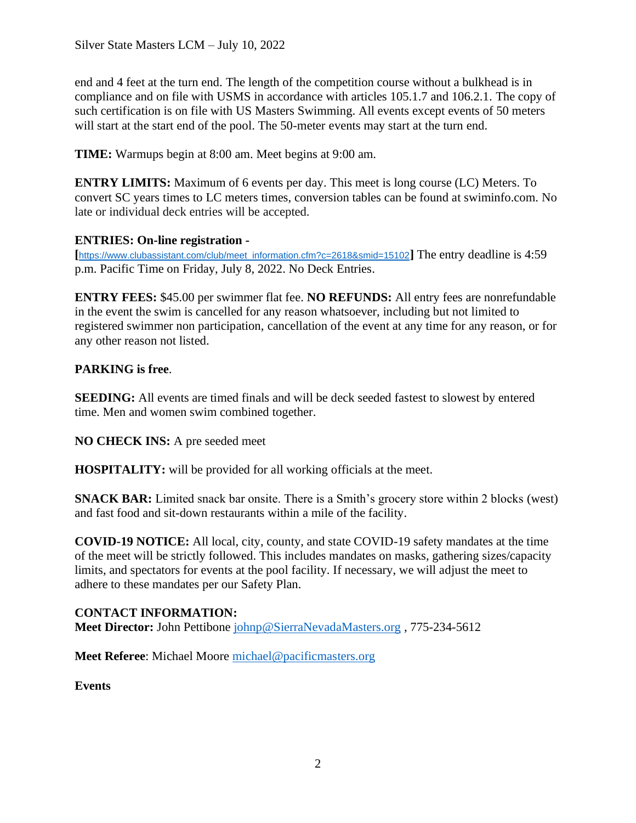end and 4 feet at the turn end. The length of the competition course without a bulkhead is in compliance and on file with USMS in accordance with articles 105.1.7 and 106.2.1. The copy of such certification is on file with US Masters Swimming. All events except events of 50 meters will start at the start end of the pool. The 50-meter events may start at the turn end.

**TIME:** Warmups begin at 8:00 am. Meet begins at 9:00 am.

**ENTRY LIMITS:** Maximum of 6 events per day. This meet is long course (LC) Meters. To convert SC years times to LC meters times, conversion tables can be found at swiminfo.com. No late or individual deck entries will be accepted.

## **ENTRIES: On-line registration -**

**[**[https://www.clubassistant.com/club/meet\\_information.cfm?c=2618&smid=15102](https://www.clubassistant.com/club/meet_information.cfm?c=2618&smid=15102)**]** The entry deadline is 4:59 p.m. Pacific Time on Friday, July 8, 2022. No Deck Entries.

**ENTRY FEES:** \$45.00 per swimmer flat fee. **NO REFUNDS:** All entry fees are nonrefundable in the event the swim is cancelled for any reason whatsoever, including but not limited to registered swimmer non participation, cancellation of the event at any time for any reason, or for any other reason not listed.

## **PARKING is free**.

**SEEDING:** All events are timed finals and will be deck seeded fastest to slowest by entered time. Men and women swim combined together.

**NO CHECK INS:** A pre seeded meet

**HOSPITALITY:** will be provided for all working officials at the meet.

**SNACK BAR:** Limited snack bar onsite. There is a Smith's grocery store within 2 blocks (west) and fast food and sit-down restaurants within a mile of the facility.

**COVID-19 NOTICE:** All local, city, county, and state COVID-19 safety mandates at the time of the meet will be strictly followed. This includes mandates on masks, gathering sizes/capacity limits, and spectators for events at the pool facility. If necessary, we will adjust the meet to adhere to these mandates per our Safety Plan.

## **CONTACT INFORMATION:**

**Meet Director:** John Pettibone [johnp@SierraNevadaMasters.org](mailto:johnp@SierraNevadaMasters.org) , 775-234-5612

**Meet Referee**: Michael Moore [michael@pacificmasters.org](mailto:michael@pacificmasters.org)

**Events**